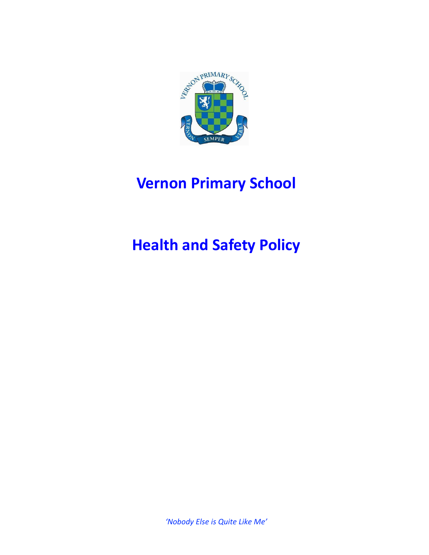

## **Vernon Primary School**

# **Health and Safety Policy**

*'Nobody Else is Quite Like Me'*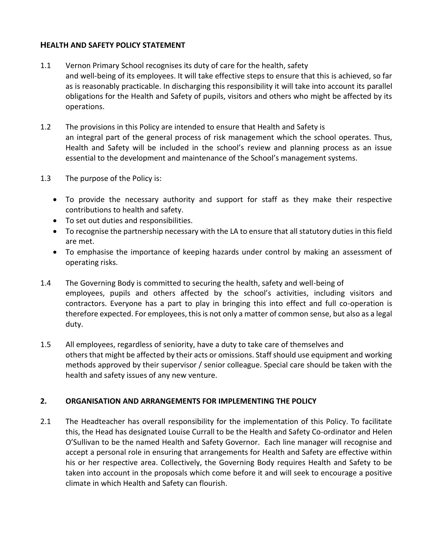#### **HEALTH AND SAFETY POLICY STATEMENT**

- 1.1 Vernon Primary School recognises its duty of care for the health, safety and well-being of its employees. It will take effective steps to ensure that this is achieved, so far as is reasonably practicable. In discharging this responsibility it will take into account its parallel obligations for the Health and Safety of pupils, visitors and others who might be affected by its operations.
- 1.2 The provisions in this Policy are intended to ensure that Health and Safety is an integral part of the general process of risk management which the school operates. Thus, Health and Safety will be included in the school's review and planning process as an issue essential to the development and maintenance of the School's management systems.
- 1.3 The purpose of the Policy is:
	- To provide the necessary authority and support for staff as they make their respective contributions to health and safety.
	- To set out duties and responsibilities.
	- To recognise the partnership necessary with the LA to ensure that all statutory duties in this field are met.
	- To emphasise the importance of keeping hazards under control by making an assessment of operating risks.
- 1.4 The Governing Body is committed to securing the health, safety and well-being of employees, pupils and others affected by the school's activities, including visitors and contractors. Everyone has a part to play in bringing this into effect and full co-operation is therefore expected. For employees, this is not only a matter of common sense, but also as a legal duty.
- 1.5 All employees, regardless of seniority, have a duty to take care of themselves and others that might be affected by their acts or omissions. Staff should use equipment and working methods approved by their supervisor / senior colleague. Special care should be taken with the health and safety issues of any new venture.

## **2. ORGANISATION AND ARRANGEMENTS FOR IMPLEMENTING THE POLICY**

2.1 The Headteacher has overall responsibility for the implementation of this Policy. To facilitate this, the Head has designated Louise Currall to be the Health and Safety Co-ordinator and Helen O'Sullivan to be the named Health and Safety Governor. Each line manager will recognise and accept a personal role in ensuring that arrangements for Health and Safety are effective within his or her respective area. Collectively, the Governing Body requires Health and Safety to be taken into account in the proposals which come before it and will seek to encourage a positive climate in which Health and Safety can flourish.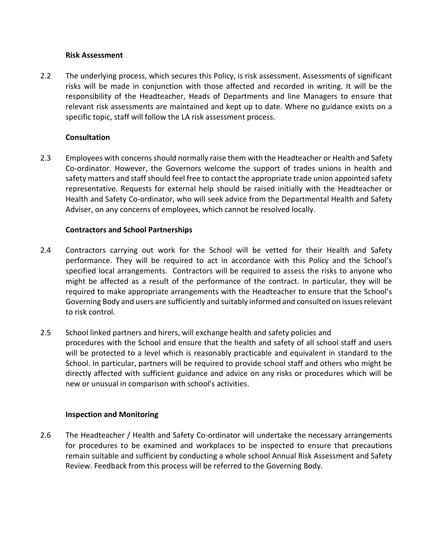#### **Risk Assessment**

2.2 The underlying process, which secures this Policy, is risk assessment. Assessments of significant risks will be made in conjunction with those affected and recorded in writing. It will be the responsibility of the Headteacher, Heads of Departments and line Managers to ensure that relevant risk assessments are maintained and kept up to date. Where no guidance exists on a specific topic, staff will follow the LA risk assessment process.

## **Consultation**

2.3 Employees with concerns should normally raise them with the Headteacher or Health and Safety Co-ordinator. However, the Governors welcome the support of trades unions in health and safety matters and staff should feel free to contact the appropriate trade union appointed safety representative. Requests for external help should be raised initially with the Headteacher or Health and Safety Co-ordinator, who will seek advice from the Departmental Health and Safety Adviser, on any concerns of employees, which cannot be resolved locally.

## **Contractors and School Partnerships**

- 2.4 Contractors carrying out work for the School will be vetted for their Health and Safety performance. They will be required to act in accordance with this Policy and the School's specified local arrangements. Contractors will be required to assess the risks to anyone who might be affected as a result of the performance of the contract. In particular, they will be required to make appropriate arrangements with the Headteacher to ensure that the School's Governing Body and users are sufficiently and suitably informed and consulted on issues relevant to risk control.
- 2.5 School linked partners and hirers, will exchange health and safety policies and procedures with the School and ensure that the health and safety of all school staff and users will be protected to a level which is reasonably practicable and equivalent in standard to the School. In particular, partners will be required to provide school staff and others who might be directly affected with sufficient guidance and advice on any risks or procedures which will be new or unusual in comparison with school's activities.

#### **Inspection and Monitoring**

2.6 The Headteacher / Health and Safety Co-ordinator will undertake the necessary arrangements for procedures to be examined and workplaces to be inspected to ensure that precautions remain suitable and sufficient by conducting a whole school Annual Risk Assessment and Safety Review. Feedback from this process will be referred to the Governing Body.